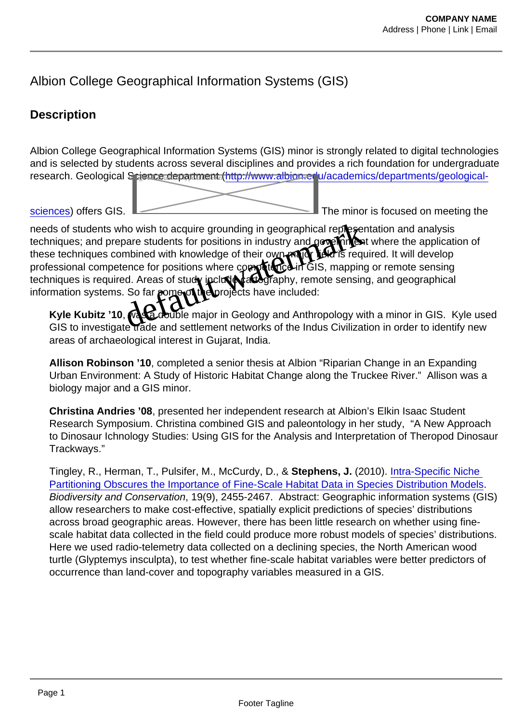# Albion College Geographical Information Systems (GIS)

# **Description**

Albion College Geographical Information Systems (GIS) minor is strongly related to digital technologies and is selected by students across several disciplines and provides a rich foundation for undergraduate research. Geological S rience department ([http://www.albion.edu/academics/departments/geological-](http://www.albion.edu/academics/departments/geological-sciences)

[sciences\)](http://www.albion.edu/academics/departments/geological-sciences) offers GIS.

The minor is focused on meeting the

needs of students who wish to acquire grounding in geographical representation and analysis techniques; and prepare students for positions in industry and government where the application of these techniques combined with knowledge of their own major field is required. It will develop professional competence for positions where competence in GIS, mapping or remote sensing techniques is required. Areas of study **heral cart of replacit careta** can essing, and geographical information systems. So far some of the projects have included: the wish to acquire grounding in geographical representations<br>ho wish to acquire grounding in geographical representations<br>mbined with knowledge of their own paper field is required<br>ence for positions where compositions in

Kyle Kubitz '10, was a double major in Geology and Anthropology with a minor in GIS. Kyle used GIS to investigate trade and settlement networks of the Indus Civilization in order to identify new areas of archaeological interest in Gujarat, India.

Allison Robinson '10 , completed a senior thesis at Albion "Riparian Change in an Expanding Urban Environment: A Study of Historic Habitat Change along the Truckee River." Allison was a biology major and a GIS minor.

Christina Andries '08 , presented her independent research at Albion's Elkin Isaac Student Research Symposium. Christina combined GIS and paleontology in her study, "A New Approach to Dinosaur Ichnology Studies: Using GIS for the Analysis and Interpretation of Theropod Dinosaur Trackways."

Tingley, R., Herman, T., Pulsifer, M., McCurdy, D., & Stephens, J. (2010). [Intra-Specific Niche](http://0-ejournals.ebsco.com.library.albion.edu/Article.asp?ContributionID=21408047)  [Partitioning Obscures the Importance of Fine-Scale Habitat Data in Species Distribution Models.](http://0-ejournals.ebsco.com.library.albion.edu/Article.asp?ContributionID=21408047) Biodiversity and Conservation, 19(9), 2455-2467. Abstract: Geographic information systems (GIS) allow researchers to make cost-effective, spatially explicit predictions of species' distributions across broad geographic areas. However, there has been little research on whether using finescale habitat data collected in the field could produce more robust models of species' distributions. Here we used radio-telemetry data collected on a declining species, the North American wood turtle (Glyptemys insculpta), to test whether fine-scale habitat variables were better predictors of occurrence than land-cover and topography variables measured in a GIS.